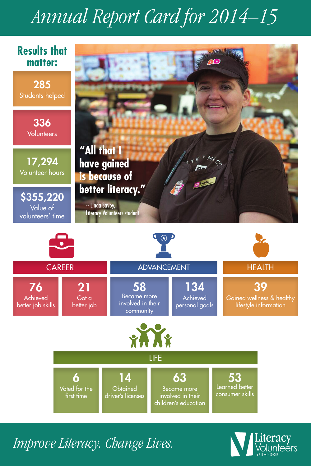## *Annual Report Card for 2014–15*



*Improve Literacy. Change Lives.*